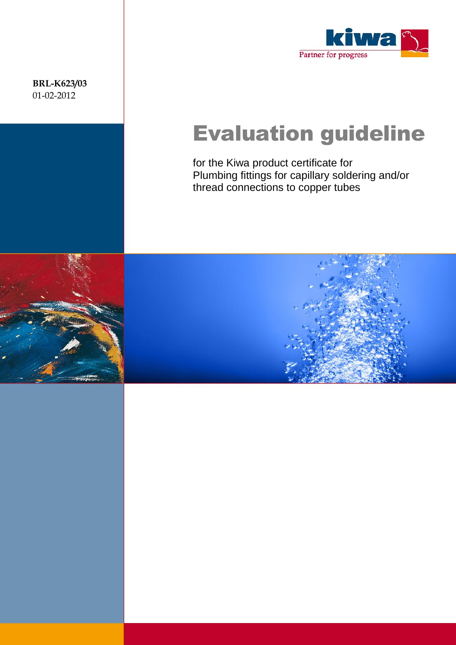**BRL-K623/03** 01-02-2012



# Evaluation guideline

for the Kiwa product certificate for Plumbing fittings for capillary soldering and/or thread connections to copper tubes



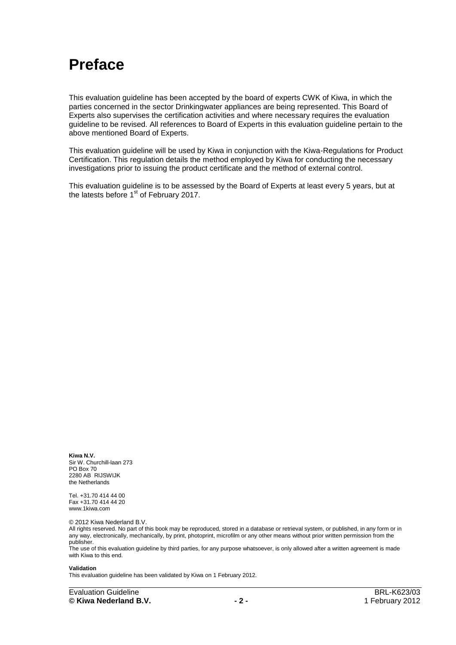### **Preface**

This evaluation guideline has been accepted by the board of experts CWK of Kiwa, in which the parties concerned in the sector Drinkingwater appliances are being represented. This Board of Experts also supervises the certification activities and where necessary requires the evaluation guideline to be revised. All references to Board of Experts in this evaluation guideline pertain to the above mentioned Board of Experts.

This evaluation guideline will be used by Kiwa in conjunction with the Kiwa-Regulations for Product Certification. This regulation details the method employed by Kiwa for conducting the necessary investigations prior to issuing the product certificate and the method of external control.

This evaluation guideline is to be assessed by the Board of Experts at least every 5 years, but at the latests before 1<sup>st</sup> of February 2017.

**Kiwa N.V.** Sir W. Churchill-laan 273 PO Box 70 2280 AB RIJSWIJK the Netherlands

Tel. +31.70 414 44 00 Fax +31.70 414 44 20 www.1kiwa.com

© 2012 Kiwa Nederland B.V.

All rights reserved. No part of this book may be reproduced, stored in a database or retrieval system, or published, in any form or in any way, electronically, mechanically, by print, photoprint, microfilm or any other means without prior written permission from the publisher.

The use of this evaluation guideline by third parties, for any purpose whatsoever, is only allowed after a written agreement is made with Kiwa to this end.

#### **Validation**

This evaluation guideline has been validated by Kiwa on 1 February 2012.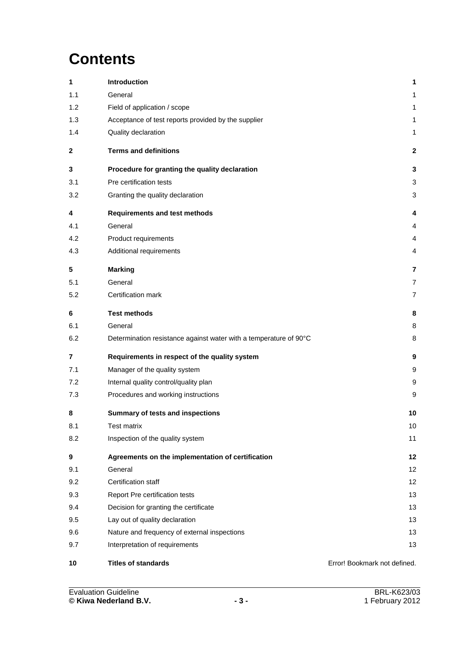# **Contents**

| 1   | Introduction                                                      | 1                            |
|-----|-------------------------------------------------------------------|------------------------------|
| 1.1 | General                                                           | 1                            |
| 1.2 | Field of application / scope                                      | 1                            |
| 1.3 | Acceptance of test reports provided by the supplier               | 1                            |
| 1.4 | Quality declaration                                               | 1                            |
| 2   | <b>Terms and definitions</b>                                      | $\mathbf{2}$                 |
| 3   | Procedure for granting the quality declaration                    | 3                            |
| 3.1 | Pre certification tests                                           | 3                            |
| 3.2 | Granting the quality declaration                                  | 3                            |
| 4   | <b>Requirements and test methods</b>                              | 4                            |
| 4.1 | General                                                           | 4                            |
| 4.2 | Product requirements                                              | 4                            |
| 4.3 | Additional requirements                                           | 4                            |
| 5   | <b>Marking</b>                                                    | 7                            |
| 5.1 | General                                                           | $\overline{7}$               |
| 5.2 | Certification mark                                                | $\overline{7}$               |
| 6   | <b>Test methods</b>                                               | 8                            |
| 6.1 | General                                                           | 8                            |
| 6.2 | Determination resistance against water with a temperature of 90°C | 8                            |
| 7   | Requirements in respect of the quality system                     | 9                            |
| 7.1 | Manager of the quality system                                     | 9                            |
| 7.2 | Internal quality control/quality plan                             | 9                            |
| 7.3 | Procedures and working instructions                               | 9                            |
| 8   | Summary of tests and inspections                                  | 10                           |
| 8.1 | <b>Test matrix</b>                                                | 10                           |
| 8.2 | Inspection of the quality system                                  | 11                           |
| 9   | Agreements on the implementation of certification                 | 12                           |
| 9.1 | General                                                           | 12                           |
| 9.2 | Certification staff                                               | 12                           |
| 9.3 | Report Pre certification tests                                    | 13                           |
| 9.4 | Decision for granting the certificate                             | 13                           |
| 9.5 | Lay out of quality declaration                                    | 13                           |
| 9.6 | Nature and frequency of external inspections                      | 13                           |
| 9.7 | Interpretation of requirements                                    | 13                           |
| 10  | <b>Titles of standards</b>                                        | Error! Bookmark not defined. |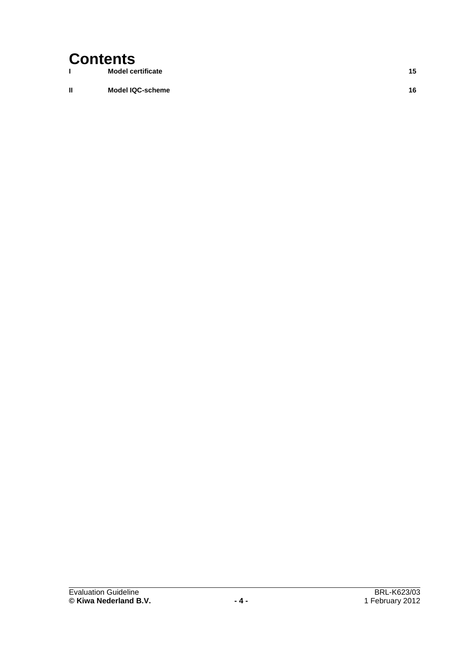# Contents

**I Model certificate 15**

**II Model IQC-scheme 16**

Evaluation Guideline BRL-K623/03<br>
C Kiwa Nederland B.V. 1 February 2012  $@$  Kiwa Nederland B.V.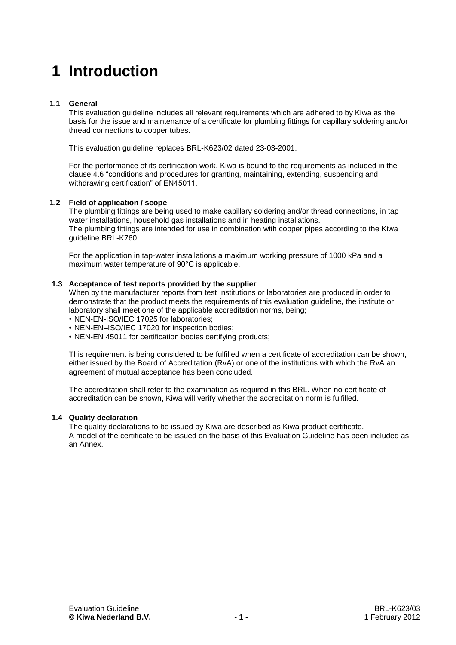# **1 Introduction**

### **1.1 General**

This evaluation guideline includes all relevant requirements which are adhered to by Kiwa as the basis for the issue and maintenance of a certificate for plumbing fittings for capillary soldering and/or thread connections to copper tubes.

This evaluation guideline replaces BRL-K623/02 dated 23-03-2001.

For the performance of its certification work, Kiwa is bound to the requirements as included in the clause 4.6 "conditions and procedures for granting, maintaining, extending, suspending and withdrawing certification" of EN45011.

### **1.2 Field of application / scope**

The plumbing fittings are being used to make capillary soldering and/or thread connections, in tap water installations, household gas installations and in heating installations. The plumbing fittings are intended for use in combination with copper pipes according to the Kiwa guideline BRL-K760.

For the application in tap-water installations a maximum working pressure of 1000 kPa and a maximum water temperature of 90°C is applicable.

### **1.3 Acceptance of test reports provided by the supplier**

When by the manufacturer reports from test Institutions or laboratories are produced in order to demonstrate that the product meets the requirements of this evaluation guideline, the institute or laboratory shall meet one of the applicable accreditation norms, being;

- NEN-EN-ISO/IEC 17025 for laboratories;
- NEN-EN–ISO/IEC 17020 for inspection bodies;
- NEN-EN 45011 for certification bodies certifying products;

This requirement is being considered to be fulfilled when a certificate of accreditation can be shown, either issued by the Board of Accreditation (RvA) or one of the institutions with which the RvA an agreement of mutual acceptance has been concluded.

The accreditation shall refer to the examination as required in this BRL. When no certificate of accreditation can be shown, Kiwa will verify whether the accreditation norm is fulfilled.

### **1.4 Quality declaration**

The quality declarations to be issued by Kiwa are described as Kiwa product certificate. A model of the certificate to be issued on the basis of this Evaluation Guideline has been included as an Annex.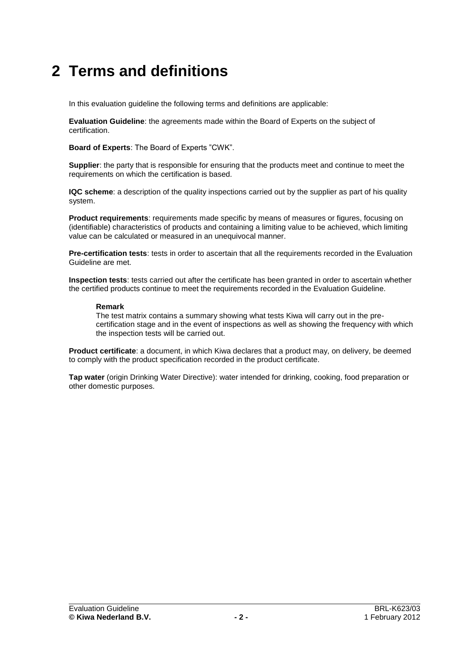## **2 Terms and definitions**

In this evaluation guideline the following terms and definitions are applicable:

**Evaluation Guideline**: the agreements made within the Board of Experts on the subject of certification.

**Board of Experts**: The Board of Experts "CWK".

**Supplier**: the party that is responsible for ensuring that the products meet and continue to meet the requirements on which the certification is based.

**IQC scheme**: a description of the quality inspections carried out by the supplier as part of his quality system.

**Product requirements**: requirements made specific by means of measures or figures, focusing on (identifiable) characteristics of products and containing a limiting value to be achieved, which limiting value can be calculated or measured in an unequivocal manner.

**Pre-certification tests**: tests in order to ascertain that all the requirements recorded in the Evaluation Guideline are met.

**Inspection tests**: tests carried out after the certificate has been granted in order to ascertain whether the certified products continue to meet the requirements recorded in the Evaluation Guideline.

### **Remark**

The test matrix contains a summary showing what tests Kiwa will carry out in the precertification stage and in the event of inspections as well as showing the frequency with which the inspection tests will be carried out.

**Product certificate**: a document, in which Kiwa declares that a product may, on delivery, be deemed to comply with the product specification recorded in the product certificate.

**Tap water** (origin Drinking Water Directive): water intended for drinking, cooking, food preparation or other domestic purposes.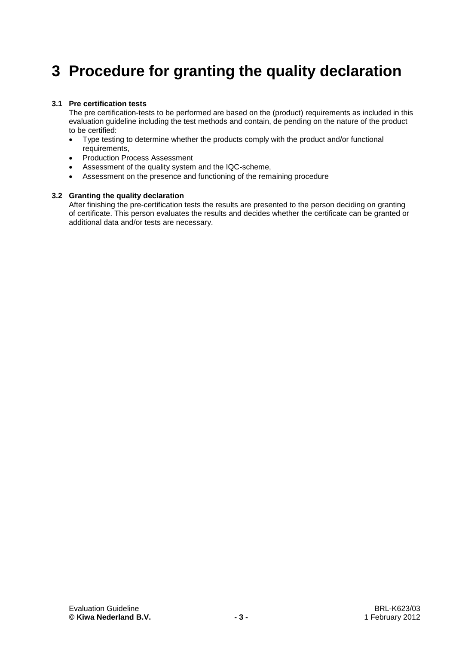# **3 Procedure for granting the quality declaration**

### **3.1 Pre certification tests**

The pre certification-tests to be performed are based on the (product) requirements as included in this evaluation guideline including the test methods and contain, de pending on the nature of the product to be certified:

- Type testing to determine whether the products comply with the product and/or functional requirements,
- Production Process Assessment
- Assessment of the quality system and the IQC-scheme,
- Assessment on the presence and functioning of the remaining procedure

### **3.2 Granting the quality declaration**

After finishing the pre-certification tests the results are presented to the person deciding on granting of certificate. This person evaluates the results and decides whether the certificate can be granted or additional data and/or tests are necessary.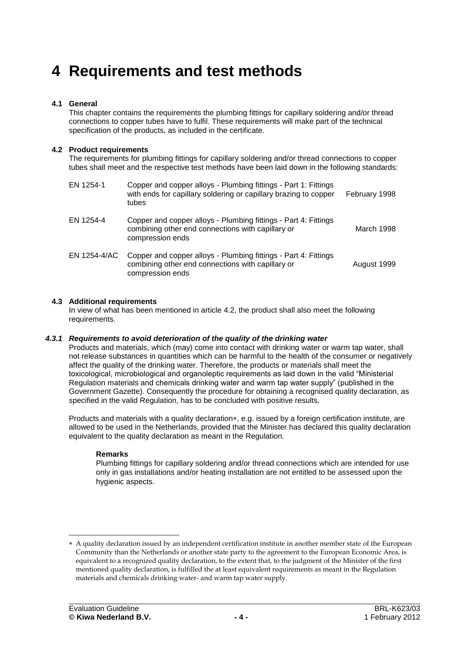## **4 Requirements and test methods**

### **4.1 General**

This chapter contains the requirements the plumbing fittings for capillary soldering and/or thread connections to copper tubes have to fulfil. These requirements will make part of the technical specification of the products, as included in the certificate.

### **4.2 Product requirements**

The requirements for plumbing fittings for capillary soldering and/or thread connections to copper tubes shall meet and the respective test methods have been laid down in the following standards:

| EN 1254-1    | Copper and copper alloys - Plumbing fittings - Part 1: Fittings<br>with ends for capillary soldering or capillary brazing to copper<br>tubes | February 1998 |
|--------------|----------------------------------------------------------------------------------------------------------------------------------------------|---------------|
| EN 1254-4    | Copper and copper alloys - Plumbing fittings - Part 4: Fittings<br>combining other end connections with capillary or<br>compression ends     | March 1998    |
| EN 1254-4/AC | Copper and copper alloys - Plumbing fittings - Part 4: Fittings<br>combining other end connections with capillary or<br>compression ends     | August 1999   |

### **4.3 Additional requirements**

<span id="page-7-0"></span>In view of what has been mentioned in article 4.2, the product shall also meet the following requirements.

### *4.3.1 Requirements to avoid deterioration of the quality of the drinking water*

Products and materials, which (may) come into contact with drinking water or warm tap water, shall not release substances in quantities which can be harmful to the health of the consumer or negatively affect the quality of the drinking water. Therefore, the products or materials shall meet the toxicological, microbiological and organoleptic requirements as laid down in the valid "Ministerial Regulation materials and chemicals drinking water and warm tap water supply" (published in the Government Gazette). Consequently the procedure for obtaining a recognised quality declaration, as specified in the valid Regulation, has to be concluded with positive results.

Products and materials with a quality declaration\*, e.g. issued by a foreign certification institute, are allowed to be used in the Netherlands, provided that the Minister has declared this quality declaration equivalent to the quality declaration as meant in the Regulation.

### **Remarks**

Plumbing fittings for capillary soldering and/or thread connections which are intended for use only in gas installations and/or heating installation are not entitled to be assessed upon the hygienic aspects.

-

A quality declaration issued by an independent certification institute in another member state of the European Community than the Netherlands or another state party to the agreement to the European Economic Area, is equivalent to a recognized quality declaration, to the extent that, to the judgment of the Minister of the first mentioned quality declaration, is fulfilled the at least equivalent requirements as meant in the Regulation materials and chemicals drinking water- and warm tap water supply.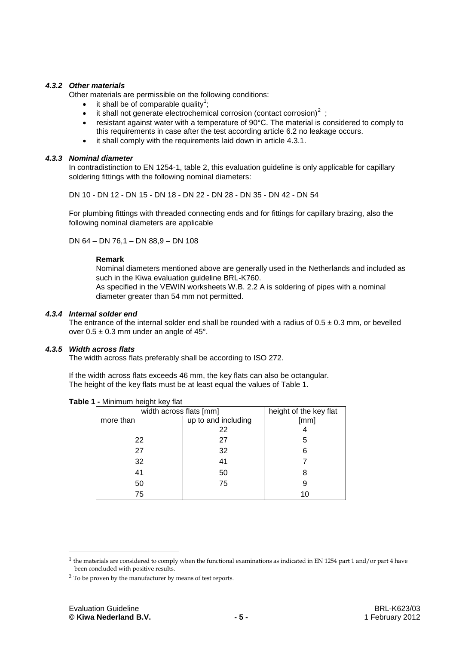### *4.3.2 Other materials*

<span id="page-8-0"></span>Other materials are permissible on the following conditions:

- $\bullet$  it shall be of comparable quality<sup>1</sup>;
- it shall not generate electrochemical corrosion (contact corrosion)<sup>2</sup>;
- resistant against water with a temperature of 90°C. The material is considered to comply to this requirements in case after the test according article [6.2](#page-11-0) no leakage occurs.
- it shall comply with the requirements laid down in article [4.3.1.](#page-7-0)

### *4.3.3 Nominal diameter*

<span id="page-8-1"></span>In contradistinction to EN 1254-1, table 2, this evaluation guideline is only applicable for capillary soldering fittings with the following nominal diameters:

DN 10 - DN 12 - DN 15 - DN 18 - DN 22 - DN 28 - DN 35 - DN 42 - DN 54

For plumbing fittings with threaded connecting ends and for fittings for capillary brazing, also the following nominal diameters are applicable

DN 64 – DN 76,1 – DN 88,9 – DN 108

### **Remark**

Nominal diameters mentioned above are generally used in the Netherlands and included as such in the Kiwa evaluation guideline BRL-K760.

As specified in the VEWIN worksheets W.B. 2.2 A is soldering of pipes with a nominal diameter greater than 54 mm not permitted.

### *4.3.4 Internal solder end*

<span id="page-8-2"></span>The entrance of the internal solder end shall be rounded with a radius of  $0.5 \pm 0.3$  mm, or bevelled over  $0.5 \pm 0.3$  mm under an angle of 45°.

### *4.3.5 Width across flats*

<span id="page-8-3"></span>The width across flats preferably shall be according to ISO 272.

If the width across flats exceeds 46 mm, the key flats can also be octangular. The height of the key flats must be at least equal the values of Table 1.

| width across flats [mm] | height of the key flat |      |  |  |  |  |  |
|-------------------------|------------------------|------|--|--|--|--|--|
| more than               | up to and including    | [mm] |  |  |  |  |  |
|                         | 22                     |      |  |  |  |  |  |
| 22                      | 27                     | 5    |  |  |  |  |  |
| 27                      | 32                     | 6    |  |  |  |  |  |
| 32                      | 41                     |      |  |  |  |  |  |
| 41                      | 50                     |      |  |  |  |  |  |
| 50                      | 75                     |      |  |  |  |  |  |
| 75                      |                        | 10   |  |  |  |  |  |

**Table 1 -** Minimum height key flat

-

<sup>&</sup>lt;sup>1</sup> the materials are considered to comply when the functional examinations as indicated in EN 1254 part 1 and/or part 4 have been concluded with positive results.

<sup>&</sup>lt;sup>2</sup> To be proven by the manufacturer by means of test reports.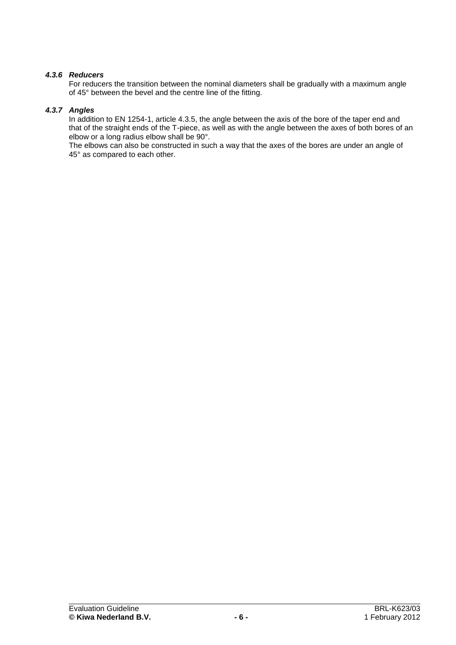### *4.3.6 Reducers*

<span id="page-9-0"></span>For reducers the transition between the nominal diameters shall be gradually with a maximum angle of 45° between the bevel and the centre line of the fitting.

### *4.3.7 Angles*

<span id="page-9-1"></span>In addition to EN 1254-1, article 4.3.5, the angle between the axis of the bore of the taper end and that of the straight ends of the T-piece, as well as with the angle between the axes of both bores of an elbow or a long radius elbow shall be 90°.

The elbows can also be constructed in such a way that the axes of the bores are under an angle of 45° as compared to each other.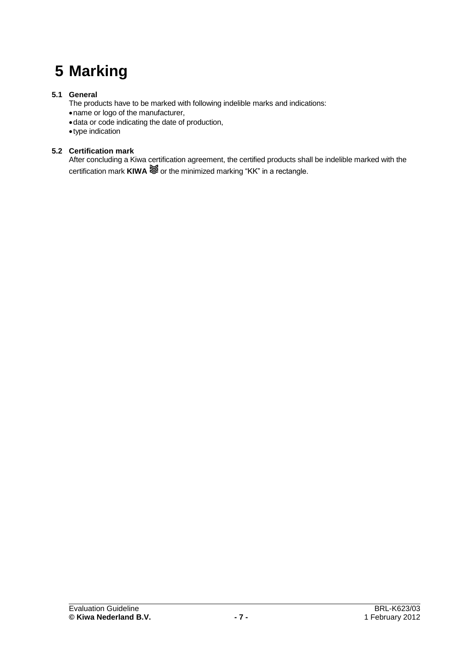# <span id="page-10-0"></span>**5 Marking**

### **5.1 General**

- The products have to be marked with following indelible marks and indications:
- name or logo of the manufacturer,
- data or code indicating the date of production,
- type indication

### **5.2 Certification mark**

After concluding a Kiwa certification agreement, the certified products shall be indelible marked with the certification mark **KIWA**  $\leq 0$  or the minimized marking "KK" in a rectangle.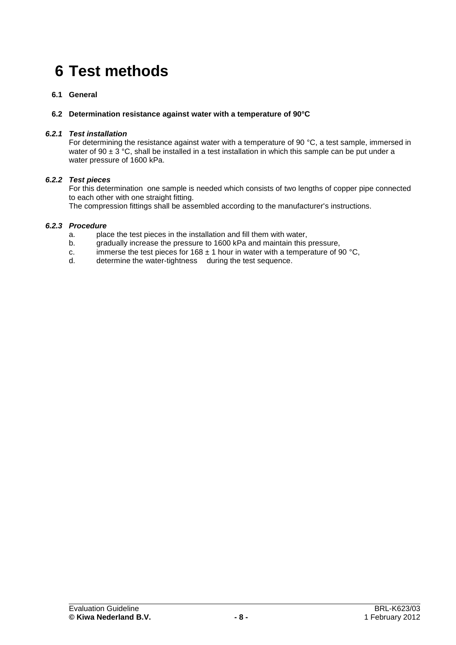# **6 Test methods**

### **6.1 General**

### <span id="page-11-0"></span>**6.2 Determination resistance against water with a temperature of 90°C**

### *6.2.1 Test installation*

For determining the resistance against water with a temperature of 90 °C, a test sample, immersed in water of 90  $\pm$  3 °C, shall be installed in a test installation in which this sample can be put under a water pressure of 1600 kPa.

### *6.2.2 Test pieces*

For this determination one sample is needed which consists of two lengths of copper pipe connected to each other with one straight fitting.

The compression fittings shall be assembled according to the manufacturer's instructions.

### *6.2.3 Procedure*

- a. place the test pieces in the installation and fill them with water,
- gradually increase the pressure to 1600 kPa and maintain this pressure,
- c. immerse the test pieces for 168  $\pm$  1 hour in water with a temperature of 90 °C,
- d. determine the water-tightness during the test sequence.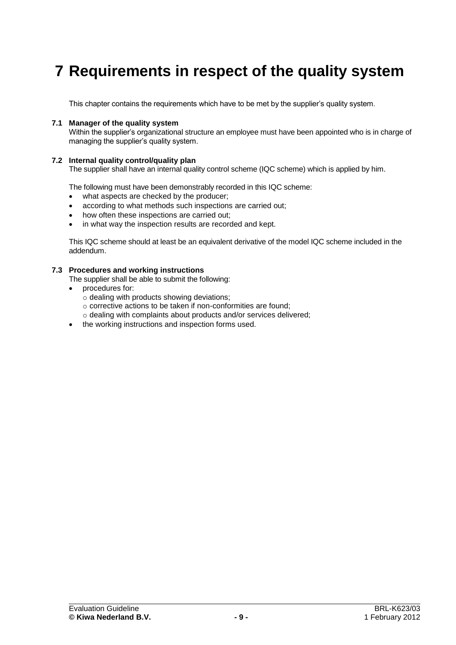## **7 Requirements in respect of the quality system**

This chapter contains the requirements which have to be met by the supplier's quality system.

### **7.1 Manager of the quality system**

Within the supplier's organizational structure an employee must have been appointed who is in charge of managing the supplier's quality system.

### **7.2 Internal quality control/quality plan**

The supplier shall have an internal quality control scheme (IQC scheme) which is applied by him.

The following must have been demonstrably recorded in this IQC scheme:

- what aspects are checked by the producer;
- according to what methods such inspections are carried out;
- how often these inspections are carried out:
- in what way the inspection results are recorded and kept.

This IQC scheme should at least be an equivalent derivative of the model IQC scheme included in the addendum.

### **7.3 Procedures and working instructions**

- The supplier shall be able to submit the following:
- procedures for:
	- $\circ$  dealing with products showing deviations;
	- o corrective actions to be taken if non-conformities are found;
	- o dealing with complaints about products and/or services delivered;
- the working instructions and inspection forms used.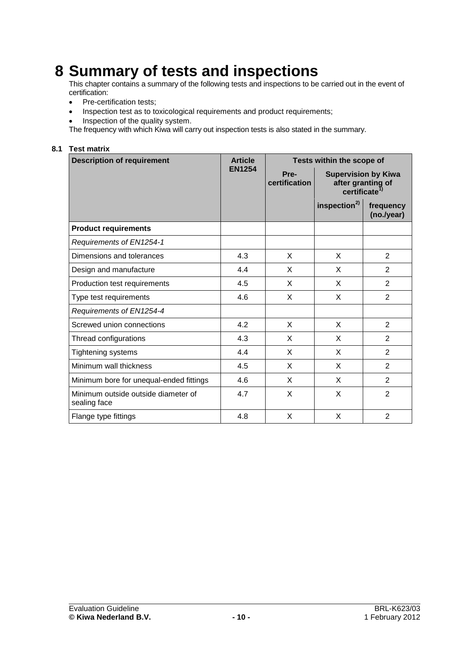### **8 Summary of tests and inspections**

This chapter contains a summary of the following tests and inspections to be carried out in the event of certification:

- Pre-certification tests;
- Inspection test as to toxicological requirements and product requirements;
- Inspection of the quality system.

The frequency with which Kiwa will carry out inspection tests is also stated in the summary.

### **8.1 Test matrix**

| <b>Description of requirement</b>                   | <b>Article</b> | Tests within the scope of |                                                                             |                         |
|-----------------------------------------------------|----------------|---------------------------|-----------------------------------------------------------------------------|-------------------------|
|                                                     | <b>EN1254</b>  | Pre-<br>certification     | <b>Supervision by Kiwa</b><br>after granting of<br>certificate <sup>1</sup> |                         |
|                                                     |                |                           | inspection <sup>2)</sup>                                                    | frequency<br>(no./year) |
| <b>Product requirements</b>                         |                |                           |                                                                             |                         |
| Requirements of EN1254-1                            |                |                           |                                                                             |                         |
| Dimensions and tolerances                           | 4.3            | X                         | X                                                                           | $\overline{2}$          |
| Design and manufacture                              | 4.4            | X                         | X                                                                           | $\overline{2}$          |
| Production test requirements                        | 4.5            | X                         | X                                                                           | $\overline{2}$          |
| Type test requirements                              | 4.6            | X                         | X                                                                           | 2                       |
| Requirements of EN1254-4                            |                |                           |                                                                             |                         |
| Screwed union connections                           | 4.2            | X                         | X                                                                           | $\overline{2}$          |
| Thread configurations                               | 4.3            | X                         | X                                                                           | 2                       |
| Tightening systems                                  | 4.4            | X                         | X                                                                           | $\overline{2}$          |
| Minimum wall thickness                              | 4.5            | X                         | X                                                                           | $\overline{2}$          |
| Minimum bore for unequal-ended fittings             | 4.6            | X                         | X                                                                           | 2                       |
| Minimum outside outside diameter of<br>sealing face | 4.7            | X                         | X                                                                           | 2                       |
| Flange type fittings                                | 4.8            | X                         | X                                                                           | $\overline{2}$          |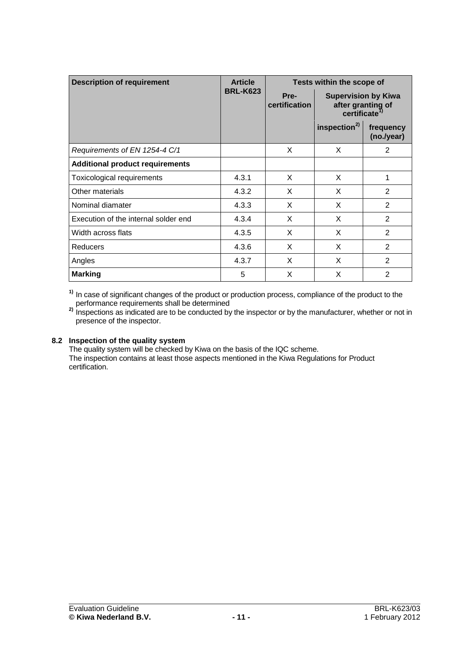| <b>Description of requirement</b>      | <b>Article</b>  | Tests within the scope of |                                                                              |                         |
|----------------------------------------|-----------------|---------------------------|------------------------------------------------------------------------------|-------------------------|
|                                        | <b>BRL-K623</b> | Pre-<br>certification     | <b>Supervision by Kiwa</b><br>after granting of<br>certificate <sup>1)</sup> |                         |
|                                        |                 |                           | inspection <sup>2)</sup>                                                     | frequency<br>(no./year) |
| Requirements of EN 1254-4 C/1          |                 | X                         | X                                                                            | 2                       |
| <b>Additional product requirements</b> |                 |                           |                                                                              |                         |
| Toxicological requirements             | 4.3.1           | X                         | X                                                                            | 1                       |
| Other materials                        | 4.3.2           | X                         | X                                                                            | $\overline{2}$          |
| Nominal diamater                       | 4.3.3           | X                         | X                                                                            | 2                       |
| Execution of the internal solder end   | 4.3.4           | X                         | X                                                                            | $\overline{2}$          |
| Width across flats                     | 4.3.5           | X                         | X                                                                            | $\overline{2}$          |
| Reducers                               | 4.3.6           | X                         | X                                                                            | $\overline{2}$          |
| Angles                                 | 4.3.7           | X                         | X                                                                            | $\overline{2}$          |
| <b>Marking</b>                         | 5               | X                         | X                                                                            | $\overline{2}$          |

**1)** In case of significant changes of the product or production process, compliance of the product to the performance requirements shall be determined

**2)** Inspections as indicated are to be conducted by the inspector or by the manufacturer, whether or not in presence of the inspector.

### **8.2 Inspection of the quality system**

The quality system will be checked by Kiwa on the basis of the IQC scheme. The inspection contains at least those aspects mentioned in the Kiwa Regulations for Product certification.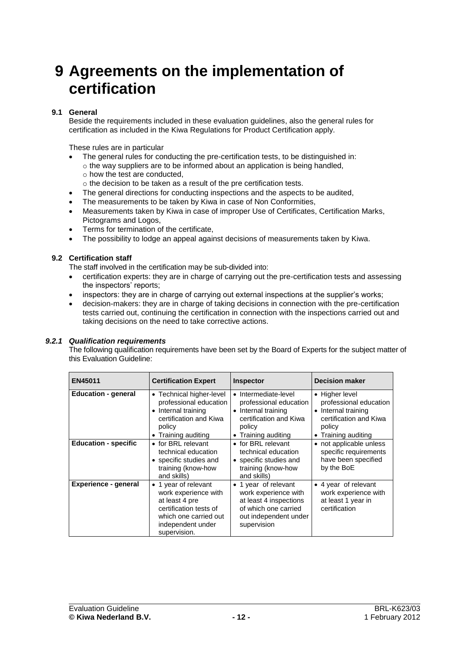### **9 Agreements on the implementation of certification**

### **9.1 General**

Beside the requirements included in these evaluation guidelines, also the general rules for certification as included in the Kiwa Regulations for Product Certification apply.

These rules are in particular

- The general rules for conducting the pre-certification tests, to be distinguished in:
- o the way suppliers are to be informed about an application is being handled, o how the test are conducted,
- o the decision to be taken as a result of the pre certification tests.
- The general directions for conducting inspections and the aspects to be audited,
- The measurements to be taken by Kiwa in case of Non Conformities,
- Measurements taken by Kiwa in case of improper Use of Certificates, Certification Marks, Pictograms and Logos,
- Terms for termination of the certificate,
- The possibility to lodge an appeal against decisions of measurements taken by Kiwa.

### **9.2 Certification staff**

The staff involved in the certification may be sub-divided into:

- certification experts: they are in charge of carrying out the pre-certification tests and assessing the inspectors' reports;
- inspectors: they are in charge of carrying out external inspections at the supplier's works;
- decision-makers: they are in charge of taking decisions in connection with the pre-certification tests carried out, continuing the certification in connection with the inspections carried out and taking decisions on the need to take corrective actions.

### *9.2.1 Qualification requirements*

The following qualification requirements have been set by the Board of Experts for the subject matter of this Evaluation Guideline:

| EN45011                     | <b>Certification Expert</b>                                                                                                                              | <b>Inspector</b>                                                                                                                            | <b>Decision maker</b>                                                                                                  |
|-----------------------------|----------------------------------------------------------------------------------------------------------------------------------------------------------|---------------------------------------------------------------------------------------------------------------------------------------------|------------------------------------------------------------------------------------------------------------------------|
| <b>Education - general</b>  | Technical higher-level<br>$\bullet$<br>professional education<br>Internal training<br>certification and Kiwa<br>policy<br>Training auditing<br>$\bullet$ | Intermediate-level<br>$\bullet$<br>professional education<br>• Internal training<br>certification and Kiwa<br>policy<br>• Training auditing | • Higher level<br>professional education<br>Internal training<br>certification and Kiwa<br>policy<br>Training auditing |
| <b>Education - specific</b> | • for BRL relevant<br>technical education<br>• specific studies and<br>training (know-how<br>and skills)                                                 | • for BRL relevant<br>technical education<br>• specific studies and<br>training (know-how<br>and skills)                                    | not applicable unless<br>specific requirements<br>have been specified<br>by the BoE                                    |
| <b>Experience - general</b> | • 1 year of relevant<br>work experience with<br>at least 4 pre<br>certification tests of<br>which one carried out<br>independent under<br>supervision.   | • 1 year of relevant<br>work experience with<br>at least 4 inspections<br>of which one carried<br>out independent under<br>supervision      | • 4 year of relevant<br>work experience with<br>at least 1 year in<br>certification                                    |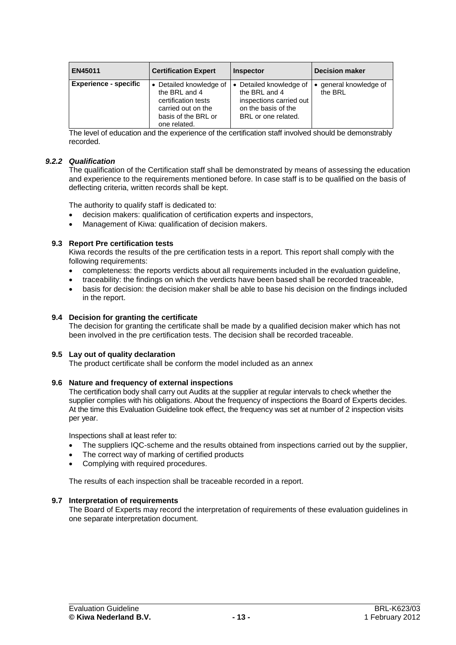| EN45011                      | <b>Certification Expert</b>                                                                                                  | <b>Inspector</b>                                                                                                  | <b>Decision maker</b>           |
|------------------------------|------------------------------------------------------------------------------------------------------------------------------|-------------------------------------------------------------------------------------------------------------------|---------------------------------|
| <b>Experience - specific</b> | • Detailed knowledge of<br>the BRL and 4<br>certification tests<br>carried out on the<br>basis of the BRL or<br>one related. | • Detailed knowledge of<br>the BRL and 4<br>inspections carried out<br>on the basis of the<br>BRL or one related. | general knowledge of<br>the BRL |

The level of education and the experience of the certification staff involved should be demonstrably recorded.

### *9.2.2 Qualification*

The qualification of the Certification staff shall be demonstrated by means of assessing the education and experience to the requirements mentioned before. In case staff is to be qualified on the basis of deflecting criteria, written records shall be kept.

The authority to qualify staff is dedicated to:

- decision makers: qualification of certification experts and inspectors,
- Management of Kiwa: qualification of decision makers.

### **9.3 Report Pre certification tests**

Kiwa records the results of the pre certification tests in a report. This report shall comply with the following requirements:

- completeness: the reports verdicts about all requirements included in the evaluation guideline,
- traceability: the findings on which the verdicts have been based shall be recorded traceable,
- basis for decision: the decision maker shall be able to base his decision on the findings included in the report.

### **9.4 Decision for granting the certificate**

The decision for granting the certificate shall be made by a qualified decision maker which has not been involved in the pre certification tests. The decision shall be recorded traceable.

#### **9.5 Lay out of quality declaration**

The product certificate shall be conform the model included as an annex

#### **9.6 Nature and frequency of external inspections**

The certification body shall carry out Audits at the supplier at regular intervals to check whether the supplier complies with his obligations. About the frequency of inspections the Board of Experts decides. At the time this Evaluation Guideline took effect, the frequency was set at number of 2 inspection visits per year.

Inspections shall at least refer to:

- The suppliers IQC-scheme and the results obtained from inspections carried out by the supplier,
- The correct way of marking of certified products
- Complying with required procedures.

The results of each inspection shall be traceable recorded in a report.

### **9.7 Interpretation of requirements**

The Board of Experts may record the interpretation of requirements of these evaluation guidelines in one separate interpretation document.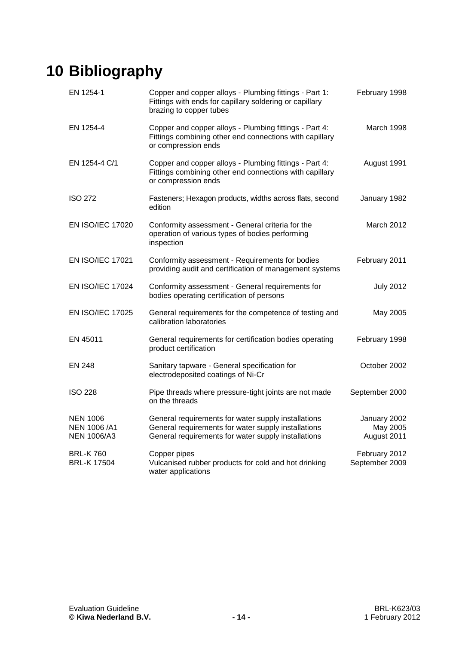# **10 Bibliography**

| EN 1254-1                                             | Copper and copper alloys - Plumbing fittings - Part 1:<br>Fittings with ends for capillary soldering or capillary<br>brazing to copper tubes                      | February 1998                           |
|-------------------------------------------------------|-------------------------------------------------------------------------------------------------------------------------------------------------------------------|-----------------------------------------|
| EN 1254-4                                             | Copper and copper alloys - Plumbing fittings - Part 4:<br>Fittings combining other end connections with capillary<br>or compression ends                          | March 1998                              |
| EN 1254-4 C/1                                         | Copper and copper alloys - Plumbing fittings - Part 4:<br>Fittings combining other end connections with capillary<br>or compression ends                          | August 1991                             |
| <b>ISO 272</b>                                        | Fasteners; Hexagon products, widths across flats, second<br>edition                                                                                               | January 1982                            |
| <b>EN ISO/IEC 17020</b>                               | Conformity assessment - General criteria for the<br>operation of various types of bodies performing<br>inspection                                                 | March 2012                              |
| <b>EN ISO/IEC 17021</b>                               | Conformity assessment - Requirements for bodies<br>providing audit and certification of management systems                                                        | February 2011                           |
| <b>EN ISO/IEC 17024</b>                               | Conformity assessment - General requirements for<br>bodies operating certification of persons                                                                     | <b>July 2012</b>                        |
| <b>EN ISO/IEC 17025</b>                               | General requirements for the competence of testing and<br>calibration laboratories                                                                                | May 2005                                |
| EN 45011                                              | General requirements for certification bodies operating<br>product certification                                                                                  | February 1998                           |
| EN 248                                                | Sanitary tapware - General specification for<br>electrodeposited coatings of Ni-Cr                                                                                | October 2002                            |
| <b>ISO 228</b>                                        | Pipe threads where pressure-tight joints are not made<br>on the threads                                                                                           | September 2000                          |
| <b>NEN 1006</b><br>NEN 1006 /A1<br><b>NEN 1006/A3</b> | General requirements for water supply installations<br>General requirements for water supply installations<br>General requirements for water supply installations | January 2002<br>May 2005<br>August 2011 |
| <b>BRL-K760</b><br><b>BRL-K 17504</b>                 | Copper pipes<br>Vulcanised rubber products for cold and hot drinking<br>water applications                                                                        | February 2012<br>September 2009         |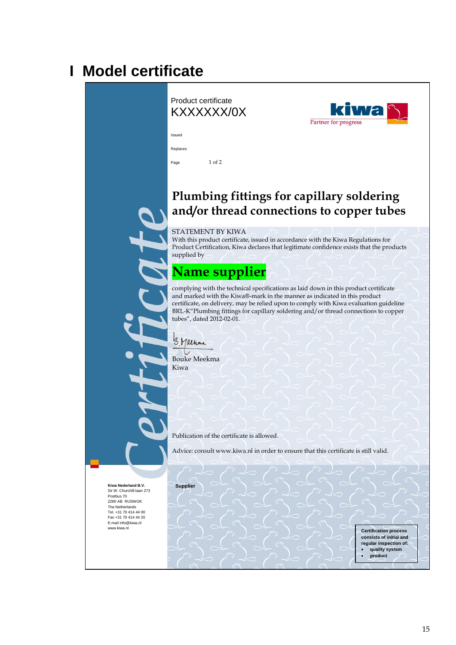### **I Model certificate**